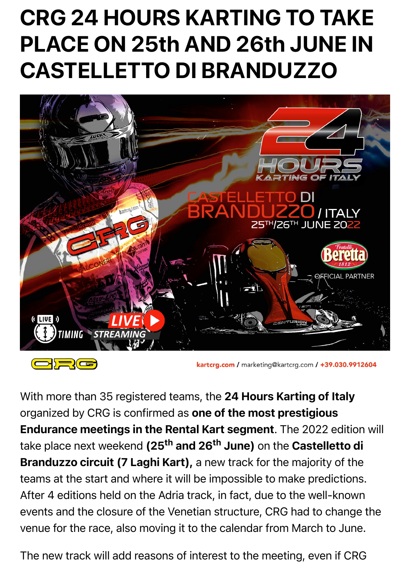## CRG 24 HOURS KARTING TO TAKE PLACE ON 25th AND 26th JUNE IN CASTELLETTO DI BRANDUZZO



kartcrg.com / marketing@kartcrg.com / +39.030.9912604

With more than 35 registered teams, the 24 Hours Karting of Italy organized by CRG is confirmed as one of the most prestigious Endurance meetings in the Rental Kart segment. The 2022 edition will take place next weekend (25<sup>th</sup> and 26<sup>th</sup> June) on the Castelletto di Branduzzo circuit (7 Laghi Kart), a new track for the majority of the teams at the start and where it will be impossible to make predictions. After 4 editions held on the Adria track, in fact, due to the well-known events and the closure of the Venetian structure, CRG had to change the venue for the race, also moving it to the calendar from March to June.

The new track will add reasons of interest to the meeting, even if CRG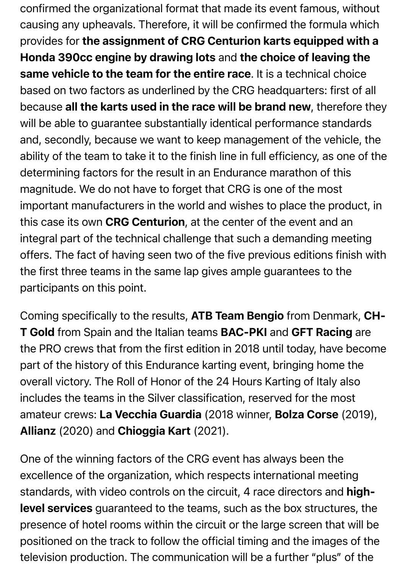confirmed the organizational format that made its event famous, without causing any upheavals. Therefore, it will be confirmed the formula which provides for the assignment of CRG Centurion karts equipped with a Honda 390cc engine by drawing lots and the choice of leaving the same vehicle to the team for the entire race. It is a technical choice based on two factors as underlined by the CRG headquarters: first of all because all the karts used in the race will be brand new, therefore they will be able to guarantee substantially identical performance standards and, secondly, because we want to keep management of the vehicle, the ability of the team to take it to the finish line in full efficiency, as one of the determining factors for the result in an Endurance marathon of this magnitude. We do not have to forget that CRG is one of the most important manufacturers in the world and wishes to place the product, in this case its own CRG Centurion, at the center of the event and an integral part of the technical challenge that such a demanding meeting offers. The fact of having seen two of the five previous editions finish with the first three teams in the same lap gives ample guarantees to the participants on this point.

Coming specifically to the results, ATB Team Bengio from Denmark, CH-T Gold from Spain and the Italian teams BAC-PKI and GFT Racing are the PRO crews that from the first edition in 2018 until today, have become part of the history of this Endurance karting event, bringing home the overall victory. The Roll of Honor of the 24 Hours Karting of Italy also includes the teams in the Silver classification, reserved for the most amateur crews: La Vecchia Guardia (2018 winner, Bolza Corse (2019), Allianz (2020) and Chioggia Kart (2021).

One of the winning factors of the CRG event has always been the excellence of the organization, which respects international meeting standards, with video controls on the circuit, 4 race directors and highlevel services guaranteed to the teams, such as the box structures, the presence of hotel rooms within the circuit or the large screen that will be positioned on the track to follow the official timing and the images of the television production. The communication will be a further "plus" of the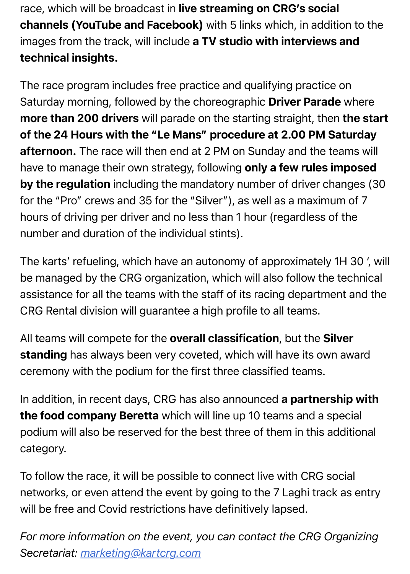race, which will be broadcast in live streaming on CRG's social channels (YouTube and Facebook) with 5 links which, in addition to the images from the track, will include a TV studio with interviews and technical insights.

The race program includes free practice and qualifying practice on Saturday morning, followed by the choreographic Driver Parade where more than 200 drivers will parade on the starting straight, then the start of the 24 Hours with the "Le Mans" procedure at 2.00 PM Saturday afternoon. The race will then end at 2 PM on Sunday and the teams will have to manage their own strategy, following only a few rules imposed by the regulation including the mandatory number of driver changes (30) for the "Pro" crews and 35 for the "Silver"), as well as a maximum of 7 hours of driving per driver and no less than 1 hour (regardless of the number and duration of the individual stints).

The karts' refueling, which have an autonomy of approximately 1H 30 ', will be managed by the CRG organization, which will also follow the technical assistance for all the teams with the staff of its racing department and the CRG Rental division will guarantee a high profile to all teams.

All teams will compete for the overall classification, but the Silver standing has always been very coveted, which will have its own award ceremony with the podium for the first three classified teams.

In addition, in recent days, CRG has also announced a partnership with the food company Beretta which will line up 10 teams and a special podium will also be reserved for the best three of them in this additional category.

To follow the race, it will be possible to connect live with CRG social networks, or even attend the event by going to the 7 Laghi track as entry will be free and Covid restrictions have definitively lapsed.

*For more information on the event, you can contact the CRG Organizing Secretariat: [marketing@kartcrg.com](mailto:marketing@kartcrg.com)*